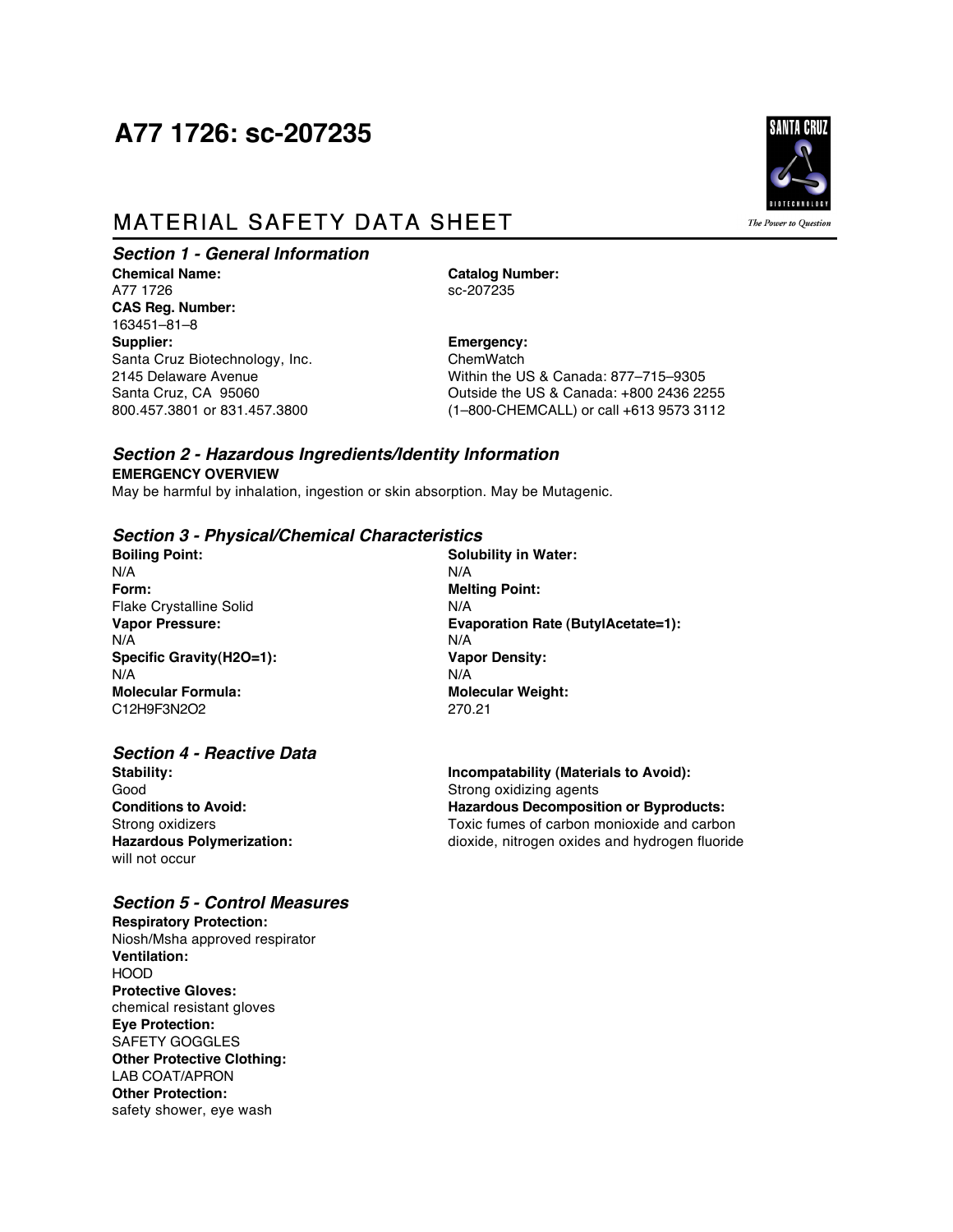# A77 1726: sc-207235

## **MATERIAL SAFETY DATA SHEET**

*Section 1 - General Information*

**Chemical Name: Catalog Number: Catalog Number: Catalog Number: Catalog Number: CATALOG** A77 1726 **CAS Reg. Number:** 163451–81–8<br>**Supplier:** Santa Cruz Biotechnology, Inc.

**Emergency:**<br>ChemWatch 2145 Delaware Avenue Within the US & Canada: 877–715–9305 Santa Cruz, CA 95060 <br>
800.457.3801 or 831.457.3800 <br>
(1-800-CHEMCALL) or call +613 9573 3112 800.457.3801 or 831.457.3800 (1–800-CHEMCALL) or call +613 9573 3112

## *Section 2 - Hazardous Ingredients/Identity Information* **EMERGENCY OVERVIEW**

May be harmful by inhalation, ingestion or skin absorption. May be Mutagenic.

#### *Section 3 - Physical/Chemical Characteristics*

N/A N/A **Form: Melting Point:** Flake Crystalline Solid N/A N/A N/A **Specific Gravity(H2O=1): Vapor Density:** N/A N/A **Molecular Formula: Molecular Weight:**<br>C12H9F3N2O2 270.21 C12H9F3N2O2

## *Section 4 - Reactive Data*

Good<br>
Conditions to Avoid:<br>
Conditions to Avoid:<br>
Conditions to Avoid:<br>
Strong oxidizing agents will not occur

#### *Section 5 - Control Measures*

**Respiratory Protection:** Niosh/Msha approved respirator **Ventilation: HOOD Protective Gloves:** chemical resistant gloves **Eye Protection:** SAFETY GOGGLES **Other Protective Clothing:** LAB COAT/APRON **Other Protection:** safety shower, eye wash

**Boiling Point: Solubility in Water: Vapor Pressure: Evaporation Rate (ButylAcetate=1):**

**Stability: Incompatability (Materials to Avoid):**<br>Good **Strong oxidizing agents Hazardous Decomposition or Byproducts:** Strong oxidizers<br> **Hazardous Polymerization:**<br> **Hazardous Polymerization:**<br> **Hazardous Polymerization:**<br> **COLOGY** dioxide, nitrogen oxides and hydrogen fluoride **Hazardous Polymerization:** dioxide, nitrogen oxides and hydrogen fluoride